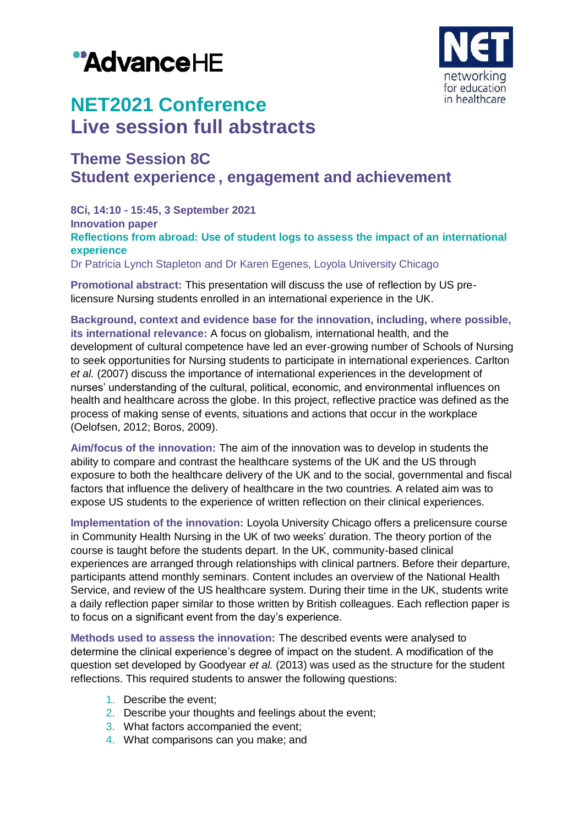



# **NET2021 Conference Live session full abstracts**

# **Theme Session 8C Student experience , engagement and achievement**

**8Ci, 14:10 - 15:45, 3 September 2021 Innovation paper Reflections from abroad: Use of student logs to assess the impact of an international experience** Dr Patricia Lynch Stapleton and Dr Karen Egenes, Loyola University Chicago

**Promotional abstract:** This presentation will discuss the use of reflection by US prelicensure Nursing students enrolled in an international experience in the UK.

**Background, context and evidence base for the innovation, including, where possible, its international relevance:** A focus on globalism, international health, and the development of cultural competence have led an ever-growing number of Schools of Nursing to seek opportunities for Nursing students to participate in international experiences. Carlton *et al.* (2007) discuss the importance of international experiences in the development of nurses' understanding of the cultural, political, economic, and environmental influences on health and healthcare across the globe. In this project, reflective practice was defined as the process of making sense of events, situations and actions that occur in the workplace (Oelofsen, 2012; Boros, 2009).

**Aim/focus of the innovation:** The aim of the innovation was to develop in students the ability to compare and contrast the healthcare systems of the UK and the US through exposure to both the healthcare delivery of the UK and to the social, governmental and fiscal factors that influence the delivery of healthcare in the two countries. A related aim was to expose US students to the experience of written reflection on their clinical experiences.

**Implementation of the innovation:** Loyola University Chicago offers a prelicensure course in Community Health Nursing in the UK of two weeks' duration. The theory portion of the course is taught before the students depart. In the UK, community-based clinical experiences are arranged through relationships with clinical partners. Before their departure, participants attend monthly seminars. Content includes an overview of the National Health Service, and review of the US healthcare system. During their time in the UK, students write a daily reflection paper similar to those written by British colleagues. Each reflection paper is to focus on a significant event from the day's experience.

**Methods used to assess the innovation:** The described events were analysed to determine the clinical experience's degree of impact on the student. A modification of the question set developed by Goodyear *et al.* (2013) was used as the structure for the student reflections. This required students to answer the following questions:

- 1. Describe the event;
- 2. Describe your thoughts and feelings about the event;
- 3. What factors accompanied the event;
- 4. What comparisons can you make; and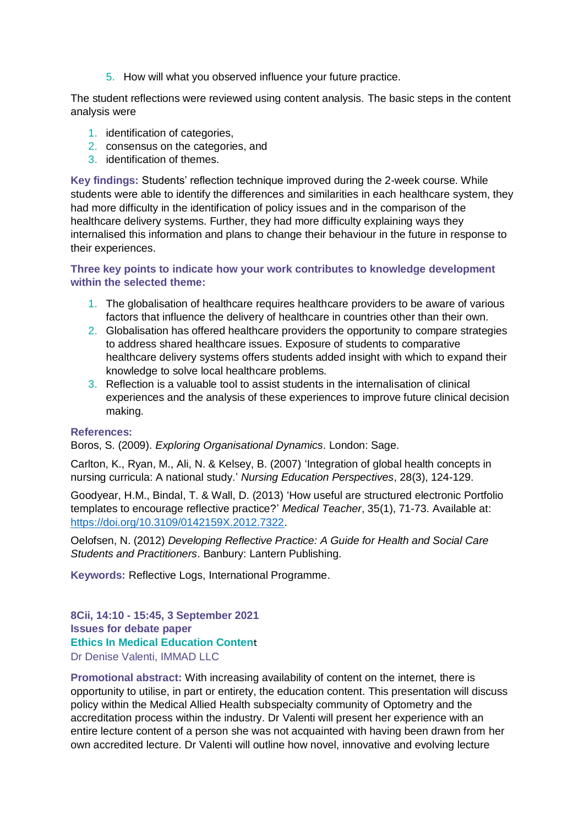5. How will what you observed influence your future practice.

The student reflections were reviewed using content analysis. The basic steps in the content analysis were

- 1. identification of categories,
- 2. consensus on the categories, and
- 3. identification of themes.

**Key findings:** Students' reflection technique improved during the 2-week course. While students were able to identify the differences and similarities in each healthcare system, they had more difficulty in the identification of policy issues and in the comparison of the healthcare delivery systems. Further, they had more difficulty explaining ways they internalised this information and plans to change their behaviour in the future in response to their experiences.

### **Three key points to indicate how your work contributes to knowledge development within the selected theme:**

- 1. The globalisation of healthcare requires healthcare providers to be aware of various factors that influence the delivery of healthcare in countries other than their own.
- 2. Globalisation has offered healthcare providers the opportunity to compare strategies to address shared healthcare issues. Exposure of students to comparative healthcare delivery systems offers students added insight with which to expand their knowledge to solve local healthcare problems.
- 3. Reflection is a valuable tool to assist students in the internalisation of clinical experiences and the analysis of these experiences to improve future clinical decision making.

#### **References:**

Boros, S. (2009). *Exploring Organisational Dynamics*. London: Sage.

Carlton, K., Ryan, M., Ali, N. & Kelsey, B. (2007) 'Integration of global health concepts in nursing curricula: A national study.' *Nursing Education Perspectives*, 28(3), 124-129.

Goodyear, H.M., Bindal, T. & Wall, D. (2013) 'How useful are structured electronic Portfolio templates to encourage reflective practice?' *Medical Teacher*, 35(1), 71-73. Available at: [https://doi.org/10.3109/0142159X.2012.7322.](https://doi.org/10.3109/0142159X.2012.7322)

Oelofsen, N. (2012) *Developing Reflective Practice: A Guide for Health and Social Care Students and Practitioners*. Banbury: Lantern Publishing.

**Keywords:** Reflective Logs, International Programme.

**8Cii, 14:10 - 15:45, 3 September 2021 Issues for debate paper Ethics In Medical Education Conten**t Dr Denise Valenti, IMMAD LLC

**Promotional abstract:** With increasing availability of content on the internet, there is opportunity to utilise, in part or entirety, the education content. This presentation will discuss policy within the Medical Allied Health subspecialty community of Optometry and the accreditation process within the industry. Dr Valenti will present her experience with an entire lecture content of a person she was not acquainted with having been drawn from her own accredited lecture. Dr Valenti will outline how novel, innovative and evolving lecture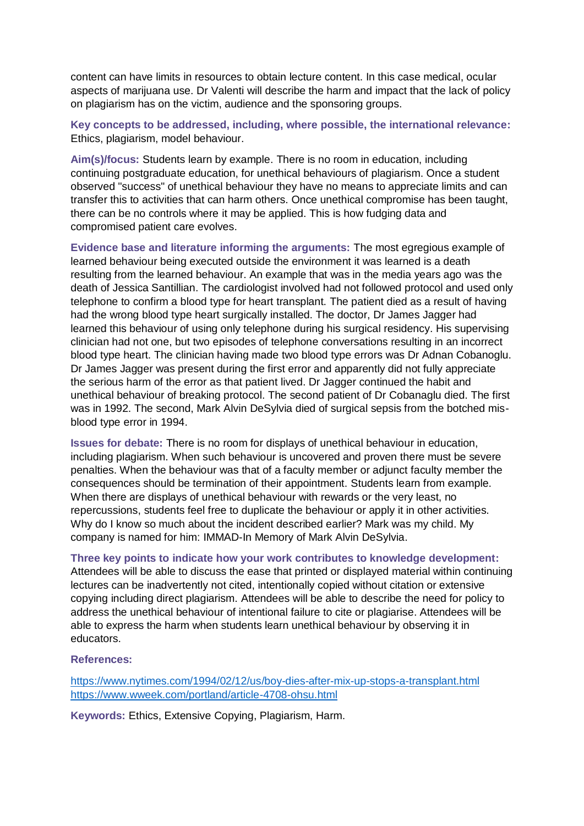content can have limits in resources to obtain lecture content. In this case medical, ocular aspects of marijuana use. Dr Valenti will describe the harm and impact that the lack of policy on plagiarism has on the victim, audience and the sponsoring groups.

**Key concepts to be addressed, including, where possible, the international relevance:** Ethics, plagiarism, model behaviour.

**Aim(s)/focus:** Students learn by example. There is no room in education, including continuing postgraduate education, for unethical behaviours of plagiarism. Once a student observed "success" of unethical behaviour they have no means to appreciate limits and can transfer this to activities that can harm others. Once unethical compromise has been taught, there can be no controls where it may be applied. This is how fudging data and compromised patient care evolves.

**Evidence base and literature informing the arguments:** The most egregious example of learned behaviour being executed outside the environment it was learned is a death resulting from the learned behaviour. An example that was in the media years ago was the death of Jessica Santillian. The cardiologist involved had not followed protocol and used only telephone to confirm a blood type for heart transplant. The patient died as a result of having had the wrong blood type heart surgically installed. The doctor, Dr James Jagger had learned this behaviour of using only telephone during his surgical residency. His supervising clinician had not one, but two episodes of telephone conversations resulting in an incorrect blood type heart. The clinician having made two blood type errors was Dr Adnan Cobanoglu. Dr James Jagger was present during the first error and apparently did not fully appreciate the serious harm of the error as that patient lived. Dr Jagger continued the habit and unethical behaviour of breaking protocol. The second patient of Dr Cobanaglu died. The first was in 1992. The second, Mark Alvin DeSylvia died of surgical sepsis from the botched misblood type error in 1994.

**Issues for debate:** There is no room for displays of unethical behaviour in education, including plagiarism. When such behaviour is uncovered and proven there must be severe penalties. When the behaviour was that of a faculty member or adjunct faculty member the consequences should be termination of their appointment. Students learn from example. When there are displays of unethical behaviour with rewards or the very least, no repercussions, students feel free to duplicate the behaviour or apply it in other activities. Why do I know so much about the incident described earlier? Mark was my child. My company is named for him: IMMAD-In Memory of Mark Alvin DeSylvia.

#### **Three key points to indicate how your work contributes to knowledge development:**

Attendees will be able to discuss the ease that printed or displayed material within continuing lectures can be inadvertently not cited, intentionally copied without citation or extensive copying including direct plagiarism. Attendees will be able to describe the need for policy to address the unethical behaviour of intentional failure to cite or plagiarise. Attendees will be able to express the harm when students learn unethical behaviour by observing it in educators.

#### **References:**

<https://www.nytimes.com/1994/02/12/us/boy-dies-after-mix-up-stops-a-transplant.html> <https://www.wweek.com/portland/article-4708-ohsu.html>

**Keywords:** Ethics, Extensive Copying, Plagiarism, Harm.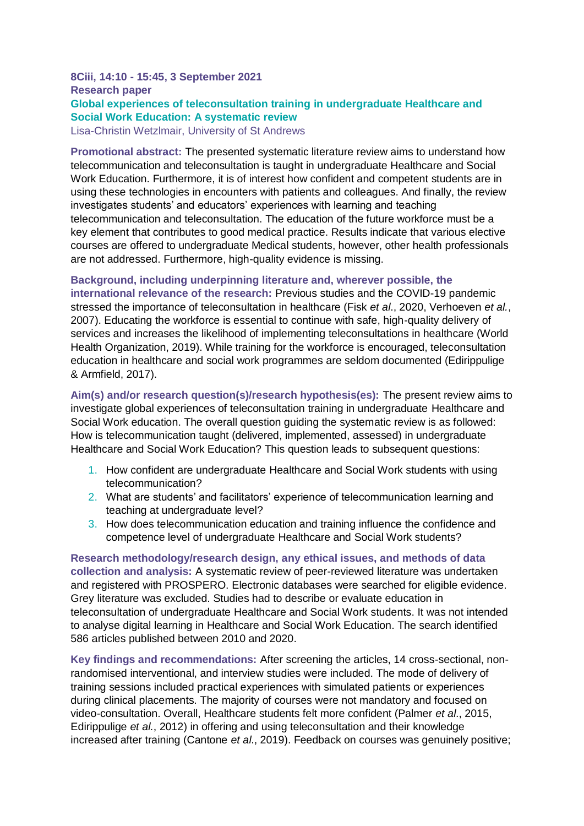### **8Ciii, 14:10 - 15:45, 3 September 2021 Research paper Global experiences of teleconsultation training in undergraduate Healthcare and Social Work Education: A systematic review** Lisa-Christin Wetzlmair, University of St Andrews

**Promotional abstract:** The presented systematic literature review aims to understand how telecommunication and teleconsultation is taught in undergraduate Healthcare and Social Work Education. Furthermore, it is of interest how confident and competent students are in using these technologies in encounters with patients and colleagues. And finally, the review investigates students' and educators' experiences with learning and teaching telecommunication and teleconsultation. The education of the future workforce must be a key element that contributes to good medical practice. Results indicate that various elective courses are offered to undergraduate Medical students, however, other health professionals are not addressed. Furthermore, high-quality evidence is missing.

**Background, including underpinning literature and, wherever possible, the international relevance of the research:** Previous studies and the COVID-19 pandemic stressed the importance of teleconsultation in healthcare (Fisk *et al*., 2020, Verhoeven *et al.*, 2007). Educating the workforce is essential to continue with safe, high-quality delivery of services and increases the likelihood of implementing teleconsultations in healthcare (World Health Organization, 2019). While training for the workforce is encouraged, teleconsultation education in healthcare and social work programmes are seldom documented (Edirippulige & Armfield, 2017).

**Aim(s) and/or research question(s)/research hypothesis(es):** The present review aims to investigate global experiences of teleconsultation training in undergraduate Healthcare and Social Work education. The overall question guiding the systematic review is as followed: How is telecommunication taught (delivered, implemented, assessed) in undergraduate Healthcare and Social Work Education? This question leads to subsequent questions:

- 1. How confident are undergraduate Healthcare and Social Work students with using telecommunication?
- 2. What are students' and facilitators' experience of telecommunication learning and teaching at undergraduate level?
- 3. How does telecommunication education and training influence the confidence and competence level of undergraduate Healthcare and Social Work students?

**Research methodology/research design, any ethical issues, and methods of data collection and analysis:** A systematic review of peer-reviewed literature was undertaken and registered with PROSPERO. Electronic databases were searched for eligible evidence. Grey literature was excluded. Studies had to describe or evaluate education in teleconsultation of undergraduate Healthcare and Social Work students. It was not intended to analyse digital learning in Healthcare and Social Work Education. The search identified 586 articles published between 2010 and 2020.

**Key findings and recommendations:** After screening the articles, 14 cross-sectional, nonrandomised interventional, and interview studies were included. The mode of delivery of training sessions included practical experiences with simulated patients or experiences during clinical placements. The majority of courses were not mandatory and focused on video-consultation. Overall, Healthcare students felt more confident (Palmer *et al*., 2015, Edirippulige *et al.*, 2012) in offering and using teleconsultation and their knowledge increased after training (Cantone *et al*., 2019). Feedback on courses was genuinely positive;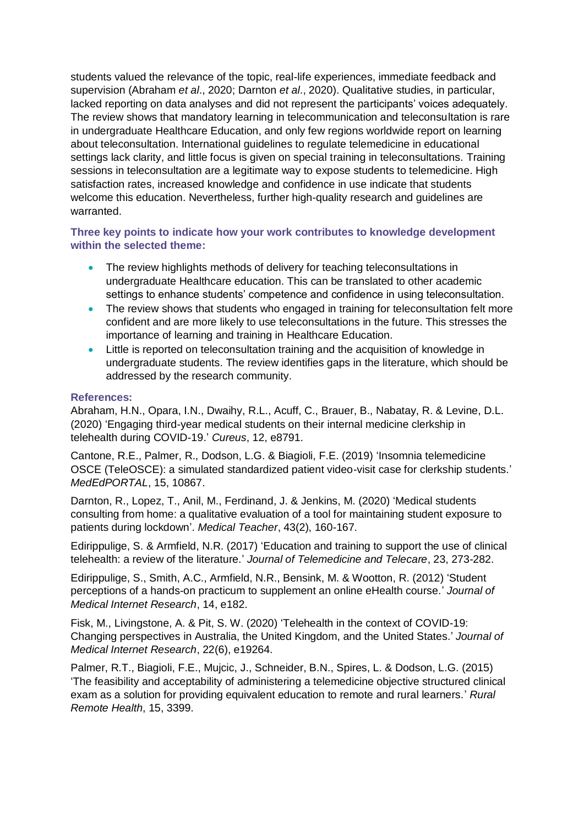students valued the relevance of the topic, real-life experiences, immediate feedback and supervision (Abraham *et al*., 2020; Darnton *et al*., 2020). Qualitative studies, in particular, lacked reporting on data analyses and did not represent the participants' voices adequately. The review shows that mandatory learning in telecommunication and teleconsultation is rare in undergraduate Healthcare Education, and only few regions worldwide report on learning about teleconsultation. International guidelines to regulate telemedicine in educational settings lack clarity, and little focus is given on special training in teleconsultations. Training sessions in teleconsultation are a legitimate way to expose students to telemedicine. High satisfaction rates, increased knowledge and confidence in use indicate that students welcome this education. Nevertheless, further high-quality research and guidelines are warranted.

# **Three key points to indicate how your work contributes to knowledge development within the selected theme:**

- The review highlights methods of delivery for teaching teleconsultations in undergraduate Healthcare education. This can be translated to other academic settings to enhance students' competence and confidence in using teleconsultation.
- The review shows that students who engaged in training for teleconsultation felt more confident and are more likely to use teleconsultations in the future. This stresses the importance of learning and training in Healthcare Education.
- Little is reported on teleconsultation training and the acquisition of knowledge in undergraduate students. The review identifies gaps in the literature, which should be addressed by the research community.

#### **References:**

Abraham, H.N., Opara, I.N., Dwaihy, R.L., Acuff, C., Brauer, B., Nabatay, R. & Levine, D.L. (2020) 'Engaging third-year medical students on their internal medicine clerkship in telehealth during COVID-19.' *Cureus*, 12, e8791.

Cantone, R.E., Palmer, R., Dodson, L.G. & Biagioli, F.E. (2019) 'Insomnia telemedicine OSCE (TeleOSCE): a simulated standardized patient video-visit case for clerkship students.' *MedEdPORTAL*, 15, 10867.

Darnton, R., Lopez, T., Anil, M., Ferdinand, J. & Jenkins, M. (2020) 'Medical students consulting from home: a qualitative evaluation of a tool for maintaining student exposure to patients during lockdown'. *Medical Teacher*, 43(2), 160-167.

Edirippulige, S. & Armfield, N.R. (2017) 'Education and training to support the use of clinical telehealth: a review of the literature.' *Journal of Telemedicine and Telecare*, 23, 273-282.

Edirippulige, S., Smith, A.C., Armfield, N.R., Bensink, M. & Wootton, R. (2012) 'Student perceptions of a hands-on practicum to supplement an online eHealth course.' *Journal of Medical Internet Research*, 14, e182.

Fisk, M., Livingstone, A. & Pit, S. W. (2020) 'Telehealth in the context of COVID-19: Changing perspectives in Australia, the United Kingdom, and the United States.' *Journal of Medical Internet Research*, 22(6), e19264.

Palmer, R.T., Biagioli, F.E., Mujcic, J., Schneider, B.N., Spires, L. & Dodson, L.G. (2015) 'The feasibility and acceptability of administering a telemedicine objective structured clinical exam as a solution for providing equivalent education to remote and rural learners.' *Rural Remote Health*, 15, 3399.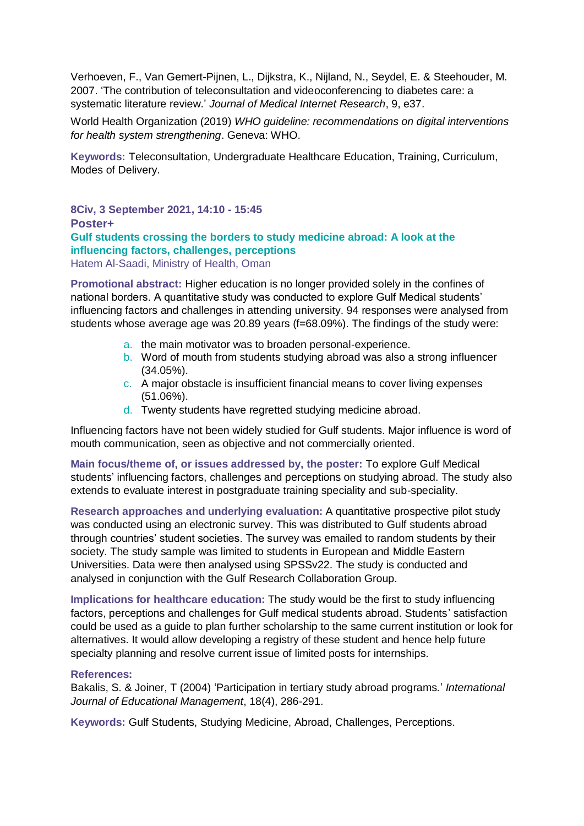Verhoeven, F., Van Gemert-Pijnen, L., Dijkstra, K., Nijland, N., Seydel, E. & Steehouder, M. 2007. 'The contribution of teleconsultation and videoconferencing to diabetes care: a systematic literature review.' *Journal of Medical Internet Research*, 9, e37.

World Health Organization (2019) *WHO guideline: recommendations on digital interventions for health system strengthening*. Geneva: WHO.

**Keywords:** Teleconsultation, Undergraduate Healthcare Education, Training, Curriculum, Modes of Delivery.

**8Civ, 3 September 2021, 14:10 - 15:45 Poster+ Gulf students crossing the borders to study medicine abroad: A look at the influencing factors, challenges, perceptions** Hatem Al-Saadi, Ministry of Health, Oman

**Promotional abstract:** Higher education is no longer provided solely in the confines of national borders. A quantitative study was conducted to explore Gulf Medical students' influencing factors and challenges in attending university. 94 responses were analysed from students whose average age was 20.89 years (f=68.09%). The findings of the study were:

- a. the main motivator was to broaden personal-experience.
- b. Word of mouth from students studying abroad was also a strong influencer (34.05%).
- c. A major obstacle is insufficient financial means to cover living expenses (51.06%).
- d. Twenty students have regretted studying medicine abroad.

Influencing factors have not been widely studied for Gulf students. Major influence is word of mouth communication, seen as objective and not commercially oriented.

**Main focus/theme of, or issues addressed by, the poster:** To explore Gulf Medical students' influencing factors, challenges and perceptions on studying abroad. The study also extends to evaluate interest in postgraduate training speciality and sub-speciality.

**Research approaches and underlying evaluation:** A quantitative prospective pilot study was conducted using an electronic survey. This was distributed to Gulf students abroad through countries' student societies. The survey was emailed to random students by their society. The study sample was limited to students in European and Middle Eastern Universities. Data were then analysed using SPSSv22. The study is conducted and analysed in conjunction with the Gulf Research Collaboration Group.

**Implications for healthcare education:** The study would be the first to study influencing factors, perceptions and challenges for Gulf medical students abroad. Students' satisfaction could be used as a guide to plan further scholarship to the same current institution or look for alternatives. It would allow developing a registry of these student and hence help future specialty planning and resolve current issue of limited posts for internships.

### **References:**

Bakalis, S. & Joiner, T (2004) 'Participation in tertiary study abroad programs.' *International Journal of Educational Management*, 18(4), 286-291.

**Keywords:** Gulf Students, Studying Medicine, Abroad, Challenges, Perceptions.